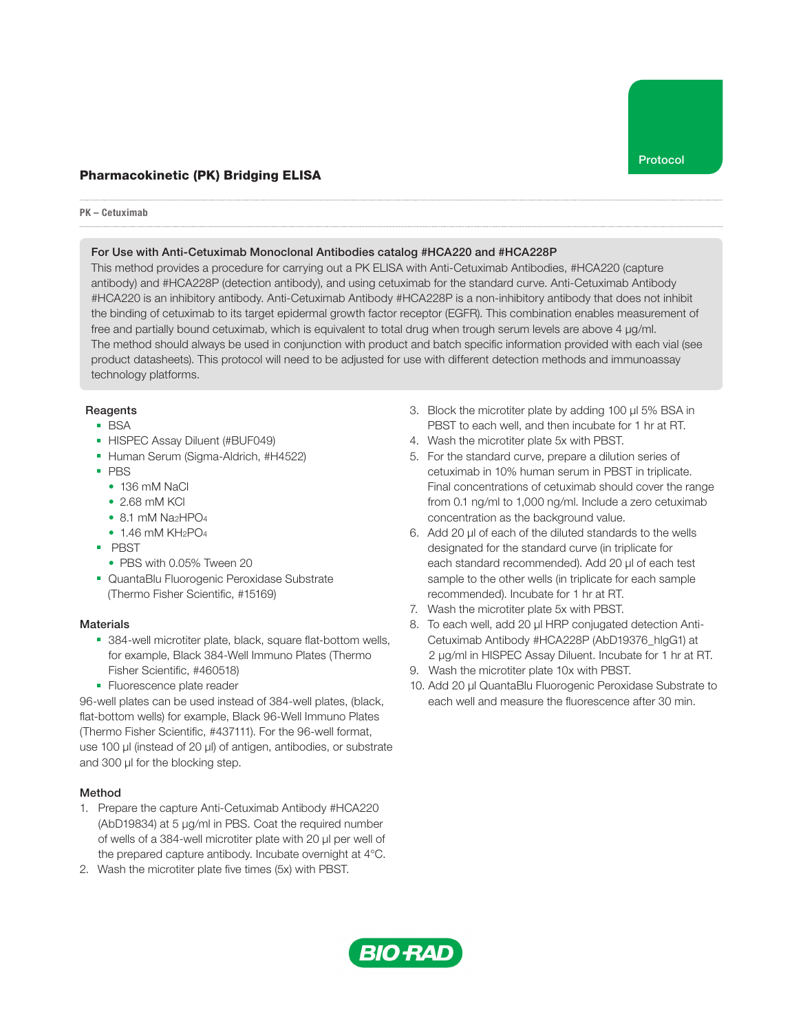# Pharmacokinetic (PK) Bridging ELISA

#### PK – Cetuximab

#### For Use with Anti-Cetuximab Monoclonal Antibodies catalog #HCA220 and #HCA228P

This method provides a procedure for carrying out a PK ELISA with Anti-Cetuximab Antibodies, #HCA220 (capture antibody) and #HCA228P (detection antibody), and using cetuximab for the standard curve. Anti-Cetuximab Antibody #HCA220 is an inhibitory antibody. Anti-Cetuximab Antibody #HCA228P is a non-inhibitory antibody that does not inhibit the binding of cetuximab to its target epidermal growth factor receptor (EGFR). This combination enables measurement of free and partially bound cetuximab, which is equivalent to total drug when trough serum levels are above 4 µg/ml. The method should always be used in conjunction with product and batch specific information provided with each vial (see product datasheets). This protocol will need to be adjusted for use with different detection methods and immunoassay technology platforms.

## **Reagents**

- BSA
- HISPEC Assay Diluent (#BUF049)
- Human Serum (Sigma-Aldrich, #H4522)
- PBS
	- 136 mM NaCl
	- 2.68 mM KCl
	- $\bullet$  8.1 mM Na<sub>2</sub>HPO<sub>4</sub>
	- $\bullet$  1.46 mM KH<sub>2</sub>PO<sub>4</sub>
- PBST
	- PBS with 0.05% Tween 20
- QuantaBlu Fluorogenic Peroxidase Substrate (Thermo Fisher Scientific, #15169)

## **Materials**

- 384-well microtiter plate, black, square flat-bottom wells, for example, Black 384-Well Immuno Plates (Thermo Fisher Scientific, #460518)
- Fluorescence plate reader

96-well plates can be used instead of 384-well plates, (black, flat-bottom wells) for example, Black 96-Well Immuno Plates (Thermo Fisher Scientific, #437111). For the 96-well format, use 100 µl (instead of 20 µl) of antigen, antibodies, or substrate and 300 µl for the blocking step.

## Method

- 1. Prepare the capture Anti-Cetuximab Antibody #HCA220 (AbD19834) at 5 µg/ml in PBS. Coat the required number of wells of a 384-well microtiter plate with 20 µl per well of the prepared capture antibody. Incubate overnight at 4°C.
- 2. Wash the microtiter plate five times (5x) with PBST.
- 3. Block the microtiter plate by adding 100 µl 5% BSA in PBST to each well, and then incubate for 1 hr at RT.
- 4. Wash the microtiter plate 5x with PBST.
- 5. For the standard curve, prepare a dilution series of cetuximab in 10% human serum in PBST in triplicate. Final concentrations of cetuximab should cover the range from 0.1 ng/ml to 1,000 ng/ml. Include a zero cetuximab concentration as the background value.
- 6. Add 20 µl of each of the diluted standards to the wells designated for the standard curve (in triplicate for each standard recommended). Add 20 μl of each test sample to the other wells (in triplicate for each sample recommended). Incubate for 1 hr at RT.
- 7. Wash the microtiter plate 5x with PBST.
- 8. To each well, add 20 µl HRP conjugated detection Anti-Cetuximab Antibody #HCA228P (AbD19376\_hlgG1) at 2 µg/ml in HISPEC Assay Diluent. Incubate for 1 hr at RT.
- 9. Wash the microtiter plate 10x with PBST.
- 10. Add 20 µl QuantaBlu Fluorogenic Peroxidase Substrate to each well and measure the fluorescence after 30 min.